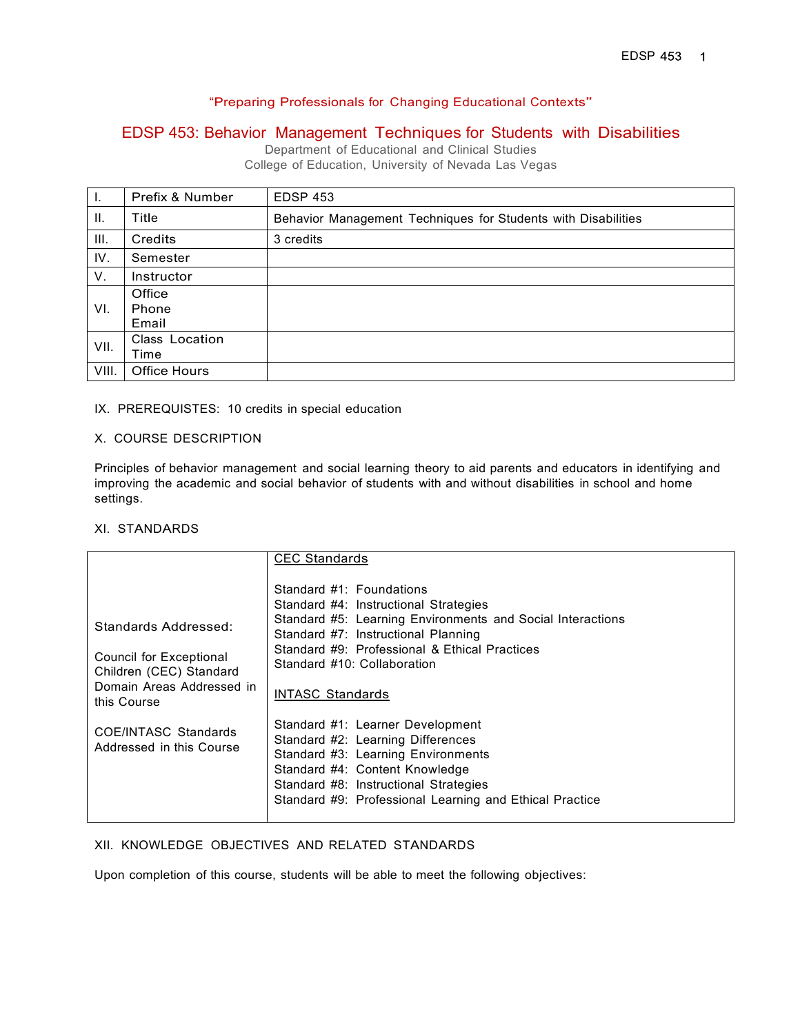## "Preparing Professionals for Changing Educational Contexts"

## EDSP 453: Behavior Management Techniques for Students with Disabilities

Department of Educational and Clinical Studies College of Education, University of Nevada Las Vegas

| Ι.    | Prefix & Number | <b>EDSP 453</b>                                               |
|-------|-----------------|---------------------------------------------------------------|
| H.    | Title           | Behavior Management Techniques for Students with Disabilities |
| III.  | Credits         | 3 credits                                                     |
| IV.   | Semester        |                                                               |
| V.    | Instructor      |                                                               |
|       | Office          |                                                               |
| VI.   | Phone           |                                                               |
|       | Email           |                                                               |
| VII.  | Class Location  |                                                               |
|       | Time            |                                                               |
| VIII. | Office Hours    |                                                               |

## IX. PREREQUISTES: 10 credits in special education

#### X. COURSE DESCRIPTION

Principles of behavior management and social learning theory to aid parents and educators in identifying and improving the academic and social behavior of students with and without disabilities in school and home settings.

#### XI. STANDARDS

|                                                                                                                        | <b>CEC Standards</b>                                                                                                                                                                                                                                                              |
|------------------------------------------------------------------------------------------------------------------------|-----------------------------------------------------------------------------------------------------------------------------------------------------------------------------------------------------------------------------------------------------------------------------------|
| Standards Addressed:<br>Council for Exceptional<br>Children (CEC) Standard<br>Domain Areas Addressed in<br>this Course | Standard #1: Foundations<br>Standard #4: Instructional Strategies<br>Standard #5: Learning Environments and Social Interactions<br>Standard #7: Instructional Planning<br>Standard #9: Professional & Ethical Practices<br>Standard #10: Collaboration<br><b>INTASC Standards</b> |
| <b>COE/INTASC Standards</b><br>Addressed in this Course                                                                | Standard #1: Learner Development<br>Standard #2: Learning Differences<br>Standard #3: Learning Environments<br>Standard #4: Content Knowledge<br>Standard #8: Instructional Strategies<br>Standard #9: Professional Learning and Ethical Practice                                 |

## XII. KNOWLEDGE OBJECTIVES AND RELATED STANDARDS

Upon completion of this course, students will be able to meet the following objectives: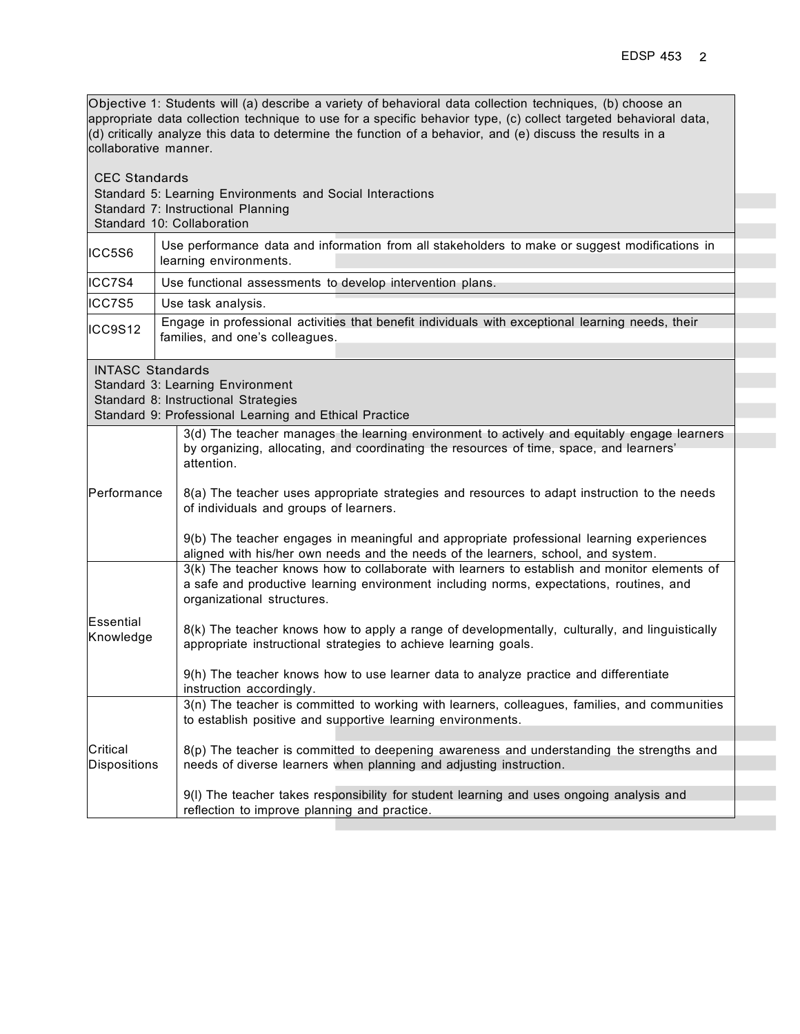Objective 1: Students will (a) describe a variety of behavioral data collection techniques, (b) choose an appropriate data collection technique to use for a specific behavior type, (c) collect targeted behavioral data, (d) critically analyze this data to determine the function of a behavior, and (e) discuss the results in a collaborative manner.

| <b>CEC Standards</b>    | Standard 5: Learning Environments and Social Interactions<br>Standard 7: Instructional Planning<br>Standard 10: Collaboration                                                                                                                                                                                                                                            |  |  |  |
|-------------------------|--------------------------------------------------------------------------------------------------------------------------------------------------------------------------------------------------------------------------------------------------------------------------------------------------------------------------------------------------------------------------|--|--|--|
| ICC5S6                  | Use performance data and information from all stakeholders to make or suggest modifications in<br>learning environments.                                                                                                                                                                                                                                                 |  |  |  |
| ICC7S4                  | Use functional assessments to develop intervention plans.                                                                                                                                                                                                                                                                                                                |  |  |  |
| ICC7S5                  | Use task analysis.                                                                                                                                                                                                                                                                                                                                                       |  |  |  |
| ICC9S12                 | Engage in professional activities that benefit individuals with exceptional learning needs, their<br>families, and one's colleagues.                                                                                                                                                                                                                                     |  |  |  |
| <b>INTASC Standards</b> | Standard 3: Learning Environment<br>Standard 8: Instructional Strategies<br>Standard 9: Professional Learning and Ethical Practice                                                                                                                                                                                                                                       |  |  |  |
| Performance             | 3(d) The teacher manages the learning environment to actively and equitably engage learners<br>by organizing, allocating, and coordinating the resources of time, space, and learners'<br>attention.<br>8(a) The teacher uses appropriate strategies and resources to adapt instruction to the needs<br>of individuals and groups of learners.                           |  |  |  |
|                         | 9(b) The teacher engages in meaningful and appropriate professional learning experiences<br>aligned with his/her own needs and the needs of the learners, school, and system.<br>3(k) The teacher knows how to collaborate with learners to establish and monitor elements of<br>a safe and productive learning environment including norms, expectations, routines, and |  |  |  |
| Essential<br>Knowledge  | organizational structures.<br>8(k) The teacher knows how to apply a range of developmentally, culturally, and linguistically<br>appropriate instructional strategies to achieve learning goals.<br>9(h) The teacher knows how to use learner data to analyze practice and differentiate                                                                                  |  |  |  |
| Critical                | instruction accordingly.<br>3(n) The teacher is committed to working with learners, colleagues, families, and communities<br>to establish positive and supportive learning environments.<br>8(p) The teacher is committed to deepening awareness and understanding the strengths and                                                                                     |  |  |  |
| Dispositions            | needs of diverse learners when planning and adjusting instruction.<br>9(I) The teacher takes responsibility for student learning and uses ongoing analysis and<br>reflection to improve planning and practice.                                                                                                                                                           |  |  |  |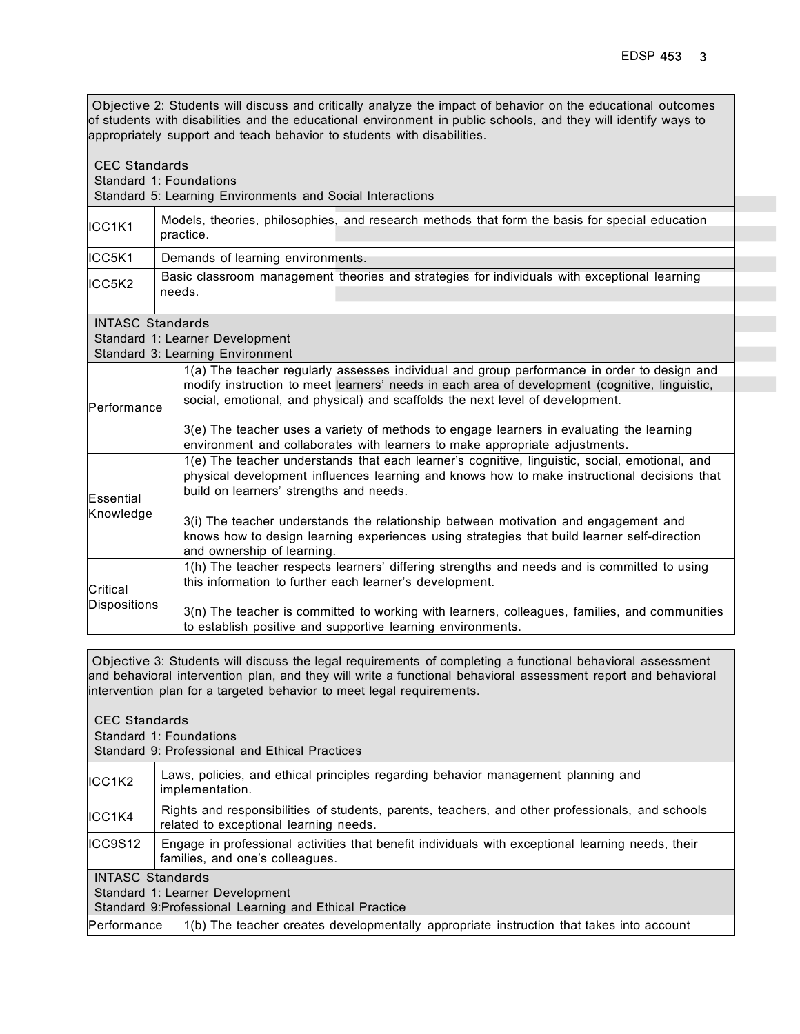Objective 2: Students will discuss and critically analyze the impact of behavior on the educational outcomes of students with disabilities and the educational environment in public schools, and they will identify ways to appropriately support and teach behavior to students with disabilities. CEC Standards Standard 1: Foundations Standard 5: Learning Environments and Social Interactions ICC1K1 Models, theories, philosophies, and research methods that form the basis for special education practice. ICC5K1 Demands of learning environments. ICC5K2 Basic classroom management theories and strategies for individuals with exceptional learning needs. INTASC Standards Standard 1: Learner Development Standard 3: Learning Environment Performance 1(a) The teacher regularly assesses individual and group performance in order to design and modify instruction to meet learners' needs in each area of development (cognitive, linguistic, social, emotional, and physical) and scaffolds the next level of development. 3(e) The teacher uses a variety of methods to engage learners in evaluating the learning environment and collaborates with learners to make appropriate adjustments. **Essential** 1(e) The teacher understands that each learner's cognitive, linguistic, social, emotional, and physical development influences learning and knows how to make instructional decisions that build on learners' strengths and needs.

| Knowledge    | 3(i) The teacher understands the relationship between motivation and engagement and<br>knows how to design learning experiences using strategies that build learner self-direction<br>and ownership of learning. |
|--------------|------------------------------------------------------------------------------------------------------------------------------------------------------------------------------------------------------------------|
| Critical     | 1(h) The teacher respects learners' differing strengths and needs and is committed to using<br>this information to further each learner's development.                                                           |
| Dispositions | 3(n) The teacher is committed to working with learners, colleagues, families, and communities<br>to establish positive and supportive learning environments.                                                     |

Objective 3: Students will discuss the legal requirements of completing a functional behavioral assessment and behavioral intervention plan, and they will write a functional behavioral assessment report and behavioral intervention plan for a targeted behavior to meet legal requirements.

| <b>CEC Standards</b><br>Standard 1: Foundations<br>Standard 9: Professional and Ethical Practices |                                                                                                                                            |  |  |
|---------------------------------------------------------------------------------------------------|--------------------------------------------------------------------------------------------------------------------------------------------|--|--|
| ICC1K2                                                                                            | Laws, policies, and ethical principles regarding behavior management planning and<br>implementation.                                       |  |  |
| IICC1K4                                                                                           | Rights and responsibilities of students, parents, teachers, and other professionals, and schools<br>related to exceptional learning needs. |  |  |
| ICC9S12                                                                                           | Engage in professional activities that benefit individuals with exceptional learning needs, their<br>families, and one's colleagues.       |  |  |
| <b>INTASC Standards</b>                                                                           |                                                                                                                                            |  |  |
| Standard 1: Learner Development                                                                   |                                                                                                                                            |  |  |
| Standard 9: Professional Learning and Ethical Practice                                            |                                                                                                                                            |  |  |
|                                                                                                   | 1(b) The teacher creates developmentally appropriate instruction that takes into account<br>Performance                                    |  |  |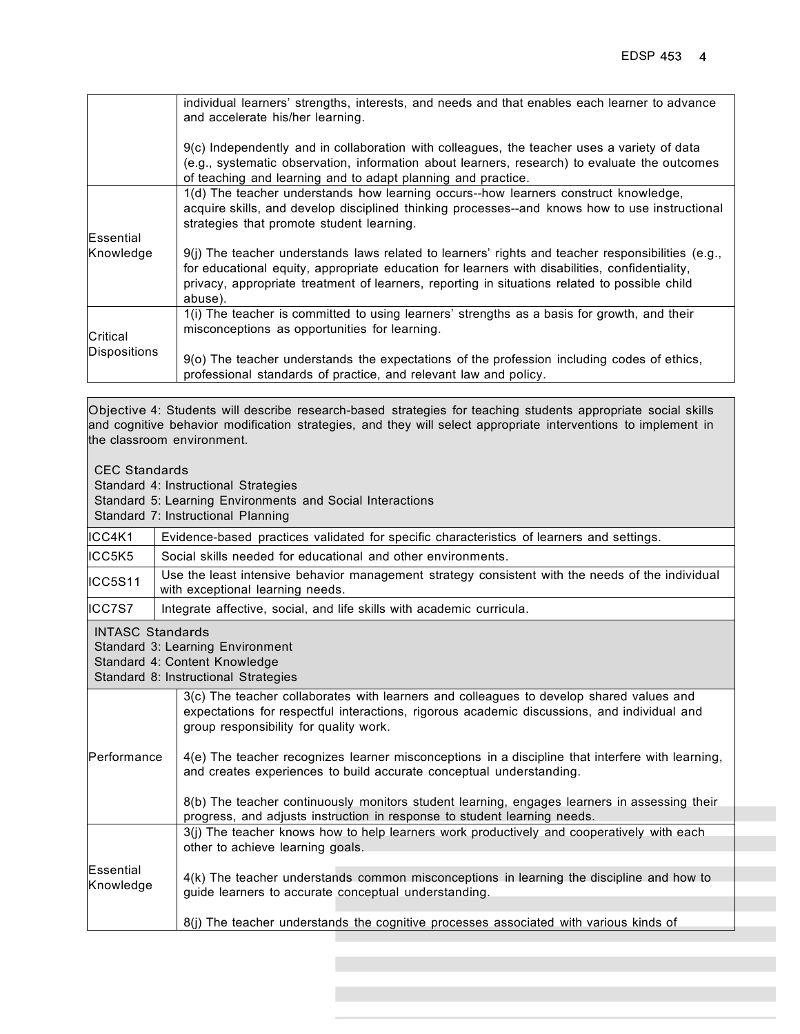|                     | individual learners' strengths, interests, and needs and that enables each learner to advance<br>and accelerate his/her learning.                                                                                                                                                                               |  |  |  |  |
|---------------------|-----------------------------------------------------------------------------------------------------------------------------------------------------------------------------------------------------------------------------------------------------------------------------------------------------------------|--|--|--|--|
|                     | 9(c) Independently and in collaboration with colleagues, the teacher uses a variety of data<br>(e.g., systematic observation, information about learners, research) to evaluate the outcomes<br>of teaching and learning and to adapt planning and practice.                                                    |  |  |  |  |
|                     | 1(d) The teacher understands how learning occurs--how learners construct knowledge,<br>acquire skills, and develop disciplined thinking processes--and knows how to use instructional<br>strategies that promote student learning.                                                                              |  |  |  |  |
| Essential           |                                                                                                                                                                                                                                                                                                                 |  |  |  |  |
| Knowledge           | 9(j) The teacher understands laws related to learners' rights and teacher responsibilities (e.g.,<br>for educational equity, appropriate education for learners with disabilities, confidentiality,<br>privacy, appropriate treatment of learners, reporting in situations related to possible child<br>abuse). |  |  |  |  |
| Critical            | 1(i) The teacher is committed to using learners' strengths as a basis for growth, and their<br>misconceptions as opportunities for learning.                                                                                                                                                                    |  |  |  |  |
| <b>Dispositions</b> | 9(o) The teacher understands the expectations of the profession including codes of ethics,<br>professional standards of practice, and relevant law and policy.                                                                                                                                                  |  |  |  |  |

Objective 4: Students will describe research-based strategies for teaching students appropriate social skills and cognitive behavior modification strategies, and they will select appropriate interventions to implement in the classroom environment.

| <b>CEC Standards</b>                                                                                                                 | Standard 4: Instructional Strategies<br>Standard 5: Learning Environments and Social Interactions<br>Standard 7: Instructional Planning                                                                                                                                                                                                                                                                                                                                                                                                                                                 |  |  |  |  |
|--------------------------------------------------------------------------------------------------------------------------------------|-----------------------------------------------------------------------------------------------------------------------------------------------------------------------------------------------------------------------------------------------------------------------------------------------------------------------------------------------------------------------------------------------------------------------------------------------------------------------------------------------------------------------------------------------------------------------------------------|--|--|--|--|
| ICC4K1                                                                                                                               | Evidence-based practices validated for specific characteristics of learners and settings.                                                                                                                                                                                                                                                                                                                                                                                                                                                                                               |  |  |  |  |
| ICC5K5                                                                                                                               | Social skills needed for educational and other environments.                                                                                                                                                                                                                                                                                                                                                                                                                                                                                                                            |  |  |  |  |
| ICC5S11                                                                                                                              | Use the least intensive behavior management strategy consistent with the needs of the individual<br>with exceptional learning needs.                                                                                                                                                                                                                                                                                                                                                                                                                                                    |  |  |  |  |
| ICC7S7                                                                                                                               | Integrate affective, social, and life skills with academic curricula.                                                                                                                                                                                                                                                                                                                                                                                                                                                                                                                   |  |  |  |  |
| <b>INTASC Standards</b><br>Standard 3: Learning Environment<br>Standard 4: Content Knowledge<br>Standard 8: Instructional Strategies |                                                                                                                                                                                                                                                                                                                                                                                                                                                                                                                                                                                         |  |  |  |  |
| Performance                                                                                                                          | 3(c) The teacher collaborates with learners and colleagues to develop shared values and<br>expectations for respectful interactions, rigorous academic discussions, and individual and<br>group responsibility for quality work.<br>4(e) The teacher recognizes learner misconceptions in a discipline that interfere with learning,<br>and creates experiences to build accurate conceptual understanding.<br>8(b) The teacher continuously monitors student learning, engages learners in assessing their<br>progress, and adjusts instruction in response to student learning needs. |  |  |  |  |
| Essential<br>Knowledge                                                                                                               | 3(j) The teacher knows how to help learners work productively and cooperatively with each<br>other to achieve learning goals.<br>4(k) The teacher understands common misconceptions in learning the discipline and how to<br>guide learners to accurate conceptual understanding.<br>8(j) The teacher understands the cognitive processes associated with various kinds of                                                                                                                                                                                                              |  |  |  |  |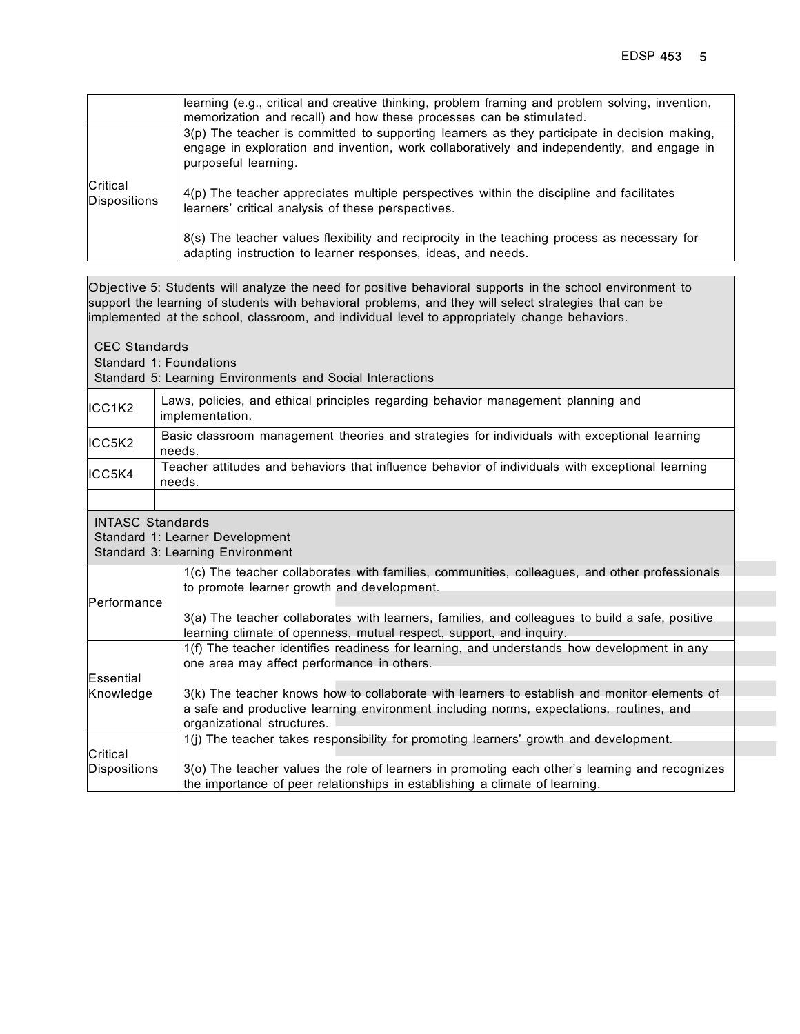|                          | learning (e.g., critical and creative thinking, problem framing and problem solving, invention,<br>memorization and recall) and how these processes can be stimulated.                                             |
|--------------------------|--------------------------------------------------------------------------------------------------------------------------------------------------------------------------------------------------------------------|
|                          | 3(p) The teacher is committed to supporting learners as they participate in decision making,<br>engage in exploration and invention, work collaboratively and independently, and engage in<br>purposeful learning. |
| Critical<br>Dispositions | 4(p) The teacher appreciates multiple perspectives within the discipline and facilitates<br>learners' critical analysis of these perspectives.                                                                     |
|                          | 8(s) The teacher values flexibility and reciprocity in the teaching process as necessary for<br>adapting instruction to learner responses, ideas, and needs.                                                       |

|                         | Objective 5: Students will analyze the need for positive behavioral supports in the school environment to<br>support the learning of students with behavioral problems, and they will select strategies that can be<br>implemented at the school, classroom, and individual level to appropriately change behaviors. |  |  |  |
|-------------------------|----------------------------------------------------------------------------------------------------------------------------------------------------------------------------------------------------------------------------------------------------------------------------------------------------------------------|--|--|--|
|                         |                                                                                                                                                                                                                                                                                                                      |  |  |  |
| <b>CEC Standards</b>    |                                                                                                                                                                                                                                                                                                                      |  |  |  |
|                         | Standard 1: Foundations                                                                                                                                                                                                                                                                                              |  |  |  |
|                         | Standard 5: Learning Environments and Social Interactions                                                                                                                                                                                                                                                            |  |  |  |
| ICC1K2                  | Laws, policies, and ethical principles regarding behavior management planning and<br>implementation.                                                                                                                                                                                                                 |  |  |  |
|                         |                                                                                                                                                                                                                                                                                                                      |  |  |  |
| ICC5K2                  | Basic classroom management theories and strategies for individuals with exceptional learning<br>needs.                                                                                                                                                                                                               |  |  |  |
| ICC5K4                  | Teacher attitudes and behaviors that influence behavior of individuals with exceptional learning                                                                                                                                                                                                                     |  |  |  |
| needs.                  |                                                                                                                                                                                                                                                                                                                      |  |  |  |
|                         |                                                                                                                                                                                                                                                                                                                      |  |  |  |
| <b>INTASC Standards</b> |                                                                                                                                                                                                                                                                                                                      |  |  |  |
|                         | Standard 1: Learner Development                                                                                                                                                                                                                                                                                      |  |  |  |
|                         | Standard 3: Learning Environment                                                                                                                                                                                                                                                                                     |  |  |  |
|                         | 1(c) The teacher collaborates with families, communities, colleagues, and other professionals                                                                                                                                                                                                                        |  |  |  |
|                         | to promote learner growth and development.                                                                                                                                                                                                                                                                           |  |  |  |
| Performance             |                                                                                                                                                                                                                                                                                                                      |  |  |  |
|                         | 3(a) The teacher collaborates with learners, families, and colleagues to build a safe, positive                                                                                                                                                                                                                      |  |  |  |
|                         | learning climate of openness, mutual respect, support, and inquiry.                                                                                                                                                                                                                                                  |  |  |  |
|                         | 1(f) The teacher identifies readiness for learning, and understands how development in any                                                                                                                                                                                                                           |  |  |  |
|                         | one area may affect performance in others.                                                                                                                                                                                                                                                                           |  |  |  |
| Essential               |                                                                                                                                                                                                                                                                                                                      |  |  |  |
| Knowledge               | 3(k) The teacher knows how to collaborate with learners to establish and monitor elements of                                                                                                                                                                                                                         |  |  |  |
|                         | a safe and productive learning environment including norms, expectations, routines, and                                                                                                                                                                                                                              |  |  |  |
|                         | organizational structures.                                                                                                                                                                                                                                                                                           |  |  |  |
|                         | 1(j) The teacher takes responsibility for promoting learners' growth and development.                                                                                                                                                                                                                                |  |  |  |
| Critical                |                                                                                                                                                                                                                                                                                                                      |  |  |  |
| <b>Dispositions</b>     | 3(o) The teacher values the role of learners in promoting each other's learning and recognizes                                                                                                                                                                                                                       |  |  |  |
|                         | the importance of peer relationships in establishing a climate of learning.                                                                                                                                                                                                                                          |  |  |  |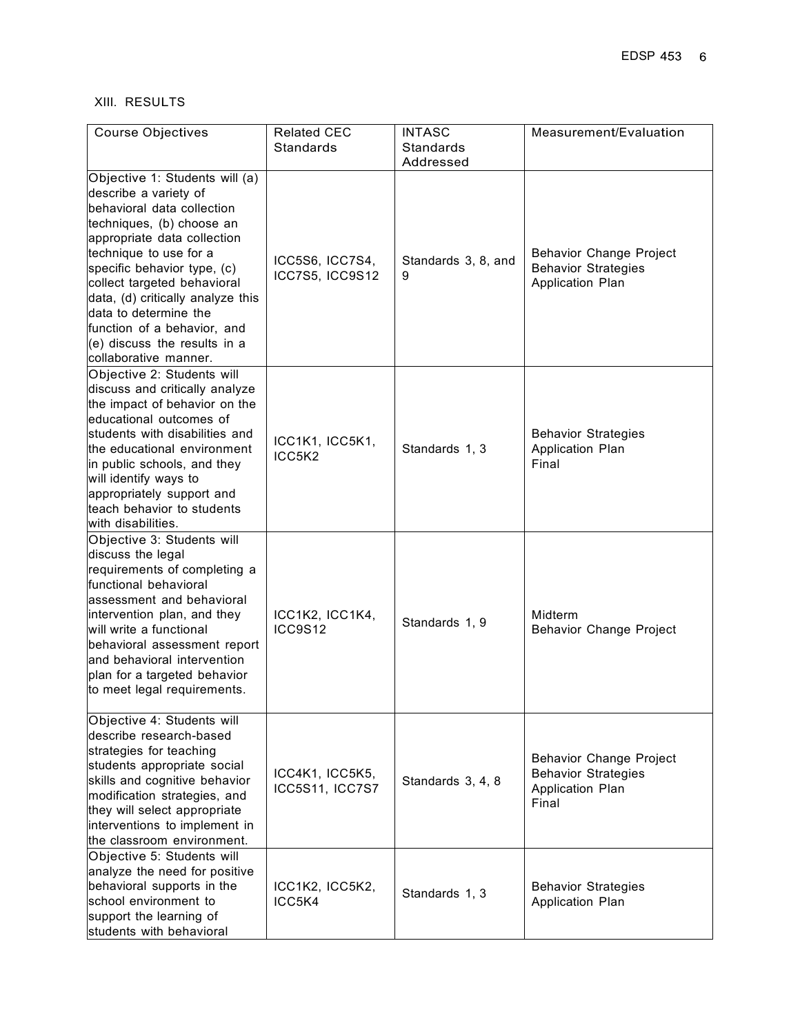# XIII. RESULTS

| <b>Course Objectives</b>                                                                                                                                                                                                                                                                                                                                                                          | <b>Related CEC</b>                 | <b>INTASC</b>            | Measurement/Evaluation                                                                    |
|---------------------------------------------------------------------------------------------------------------------------------------------------------------------------------------------------------------------------------------------------------------------------------------------------------------------------------------------------------------------------------------------------|------------------------------------|--------------------------|-------------------------------------------------------------------------------------------|
|                                                                                                                                                                                                                                                                                                                                                                                                   | <b>Standards</b>                   | Standards<br>Addressed   |                                                                                           |
| Objective 1: Students will (a)<br>describe a variety of<br>behavioral data collection<br>techniques, (b) choose an<br>appropriate data collection<br>technique to use for a<br>specific behavior type, (c)<br>collect targeted behavioral<br>data, (d) critically analyze this<br>data to determine the<br>function of a behavior, and<br>$(e)$ discuss the results in a<br>collaborative manner. | ICC5S6, ICC7S4,<br>ICC7S5, ICC9S12 | Standards 3, 8, and<br>9 | Behavior Change Project<br><b>Behavior Strategies</b><br>Application Plan                 |
| Objective 2: Students will<br>discuss and critically analyze<br>the impact of behavior on the<br>leducational outcomes of<br>students with disabilities and<br>the educational environment<br>in public schools, and they<br>will identify ways to<br>appropriately support and<br>teach behavior to students<br>with disabilities.                                                               | ICC1K1, ICC5K1,<br>ICC5K2          | Standards 1, 3           | <b>Behavior Strategies</b><br>Application Plan<br>Final                                   |
| Objective 3: Students will<br>discuss the legal<br>requirements of completing a<br>functional behavioral<br>assessment and behavioral<br>intervention plan, and they<br>will write a functional<br>behavioral assessment report<br>and behavioral intervention<br>plan for a targeted behavior<br>to meet legal requirements.                                                                     | ICC1K2, ICC1K4,<br>ICC9S12         | Standards 1, 9           | Midterm<br><b>Behavior Change Project</b>                                                 |
| Objective 4: Students will<br>describe research-based<br>strategies for teaching<br>students appropriate social<br>skills and cognitive behavior<br>modification strategies, and<br>they will select appropriate<br>interventions to implement in<br>the classroom environment.                                                                                                                   | ICC4K1, ICC5K5,<br>ICC5S11, ICC7S7 | Standards 3, 4, 8        | <b>Behavior Change Project</b><br><b>Behavior Strategies</b><br>Application Plan<br>Final |
| Objective 5: Students will<br>analyze the need for positive<br>behavioral supports in the<br>school environment to<br>support the learning of<br>students with behavioral                                                                                                                                                                                                                         | ICC1K2, ICC5K2,<br>ICC5K4          | Standards 1, 3           | <b>Behavior Strategies</b><br>Application Plan                                            |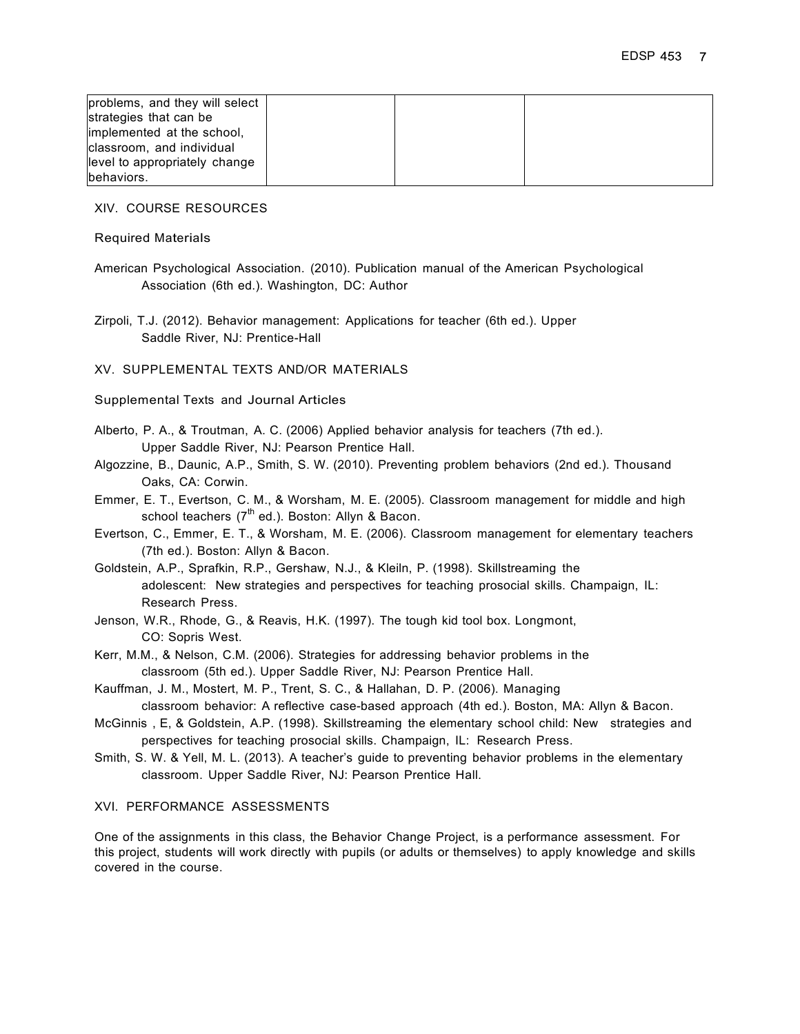| problems, and they will select |  |  |
|--------------------------------|--|--|
| strategies that can be         |  |  |
| implemented at the school,     |  |  |
| classroom, and individual      |  |  |
| level to appropriately change  |  |  |
| behaviors.                     |  |  |

XIV. COURSE RESOURCES

Required Materials

American Psychological Association. (2010). Publication manual of the American Psychological Association (6th ed.). Washington, DC: Author

Zirpoli, T.J. (2012). Behavior management: Applications for teacher (6th ed.). Upper Saddle River, NJ: Prentice-Hall

XV. SUPPLEMENTAL TEXTS AND/OR MATERIALS

Supplemental Texts and Journal Articles

- Alberto, P. A., & Troutman, A. C. (2006) Applied behavior analysis for teachers (7th ed.). Upper Saddle River, NJ: Pearson Prentice Hall.
- Algozzine, B., Daunic, A.P., Smith, S. W. (2010). Preventing problem behaviors (2nd ed.). Thousand Oaks, CA: Corwin.
- Emmer, E. T., Evertson, C. M., & Worsham, M. E. (2005). Classroom management for middle and high school teachers  $(7^{th}$  ed.). Boston: Allyn & Bacon.
- Evertson, C., Emmer, E. T., & Worsham, M. E. (2006). Classroom management for elementary teachers (7th ed.). Boston: Allyn & Bacon.
- Goldstein, A.P., Sprafkin, R.P., Gershaw, N.J., & Kleiln, P. (1998). Skillstreaming the adolescent: New strategies and perspectives for teaching prosocial skills. Champaign, IL: Research Press.
- Jenson, W.R., Rhode, G., & Reavis, H.K. (1997). The tough kid tool box. Longmont, CO: Sopris West.
- Kerr, M.M., & Nelson, C.M. (2006). Strategies for addressing behavior problems in the classroom (5th ed.). Upper Saddle River, NJ: Pearson Prentice Hall.
- Kauffman, J. M., Mostert, M. P., Trent, S. C., & Hallahan, D. P. (2006). Managing classroom behavior: A reflective case-based approach (4th ed.). Boston, MA: Allyn & Bacon.
- McGinnis , E, & Goldstein, A.P. (1998). Skillstreaming the elementary school child: New strategies and perspectives for teaching prosocial skills. Champaign, IL: Research Press.
- Smith, S. W. & Yell, M. L. (2013). A teacher's guide to preventing behavior problems in the elementary classroom. Upper Saddle River, NJ: Pearson Prentice Hall.

#### XVI. PERFORMANCE ASSESSMENTS

One of the assignments in this class, the Behavior Change Project, is a performance assessment. For this project, students will work directly with pupils (or adults or themselves) to apply knowledge and skills covered in the course.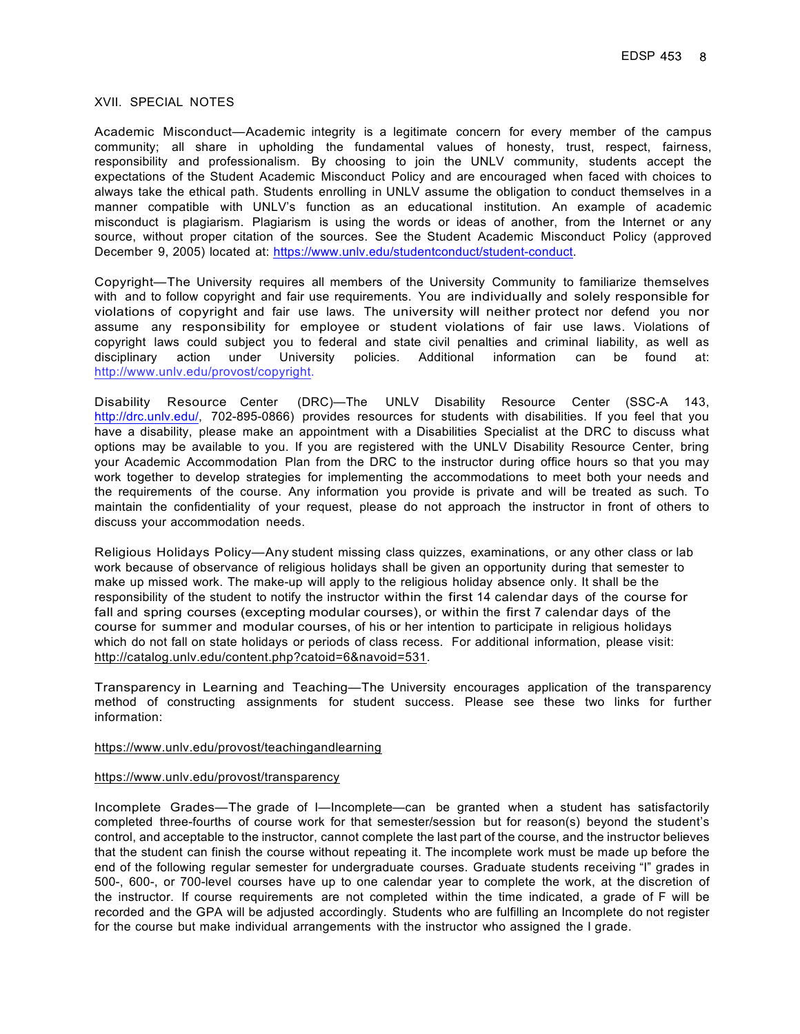#### XVII. SPECIAL NOTES

Academic Misconduct—Academic integrity is a legitimate concern for every member of the campus community; all share in upholding the fundamental values of honesty, trust, respect, fairness, responsibility and professionalism. By choosing to join the UNLV community, students accept the expectations of the Student Academic Misconduct Policy and are encouraged when faced with choices to always take the ethical path. Students enrolling in UNLV assume the obligation to conduct themselves in a manner compatible with UNLV's function as an educational institution. An example of academic misconduct is plagiarism. Plagiarism is using the words or ideas of another, from the Internet or any source, without proper citation of the sources. See the Student Academic Misconduct Policy (approved December 9, 2005) located at: https://www.unlv.edu/studentconduct/student-conduct.

Copyright—The University requires all members of the University Community to familiarize themselves with and to follow copyright and fair use requirements. You are individually and solely responsible for violations of copyright and fair use laws. The university will neither protect nor defend you nor assume any responsibility for employee or student violations of fair use laws. Violations of copyright laws could subject you to federal and state civil penalties and criminal liability, as well as disciplinary action under University policies. Additional information can be found at: http://www.unlv.edu/provost/copyright.

Disability Resource Center (DRC)—The UNLV Disability Resource Center (SSC-A 143, http://drc.unlv.edu/, 702-895-0866) provides resources for students with disabilities. If you feel that you have a disability, please make an appointment with a Disabilities Specialist at the DRC to discuss what options may be available to you. If you are registered with the UNLV Disability Resource Center, bring your Academic Accommodation Plan from the DRC to the instructor during office hours so that you may work together to develop strategies for implementing the accommodations to meet both your needs and the requirements of the course. Any information you provide is private and will be treated as such. To maintain the confidentiality of your request, please do not approach the instructor in front of others to discuss your accommodation needs.

Religious Holidays Policy—Any student missing class quizzes, examinations, or any other class or lab work because of observance of religious holidays shall be given an opportunity during that semester to make up missed work. The make-up will apply to the religious holiday absence only. It shall be the responsibility of the student to notify the instructor within the first 14 calendar days of the course for fall and spring courses (excepting modular courses), or within the first 7 calendar days of the course for summer and modular courses, of his or her intention to participate in religious holidays which do not fall on state holidays or periods of class recess. For additional information, please visit: http://catalog.unlv.edu/content.php?catoid=6&navoid=531.

Transparency in Learning and Teaching—The University encourages application of the transparency method of constructing assignments for student success. Please see these two links for further information:

#### https://www.unlv.edu/provost/teachingandlearning

#### https://www.unlv.edu/provost/transparency

Incomplete Grades—The grade of I—Incomplete—can be granted when a student has satisfactorily completed three-fourths of course work for that semester/session but for reason(s) beyond the student's control, and acceptable to the instructor, cannot complete the last part of the course, and the instructor believes that the student can finish the course without repeating it. The incomplete work must be made up before the end of the following regular semester for undergraduate courses. Graduate students receiving "I" grades in 500-, 600-, or 700-level courses have up to one calendar year to complete the work, at the discretion of the instructor. If course requirements are not completed within the time indicated, a grade of F will be recorded and the GPA will be adjusted accordingly. Students who are fulfilling an Incomplete do not register for the course but make individual arrangements with the instructor who assigned the I grade.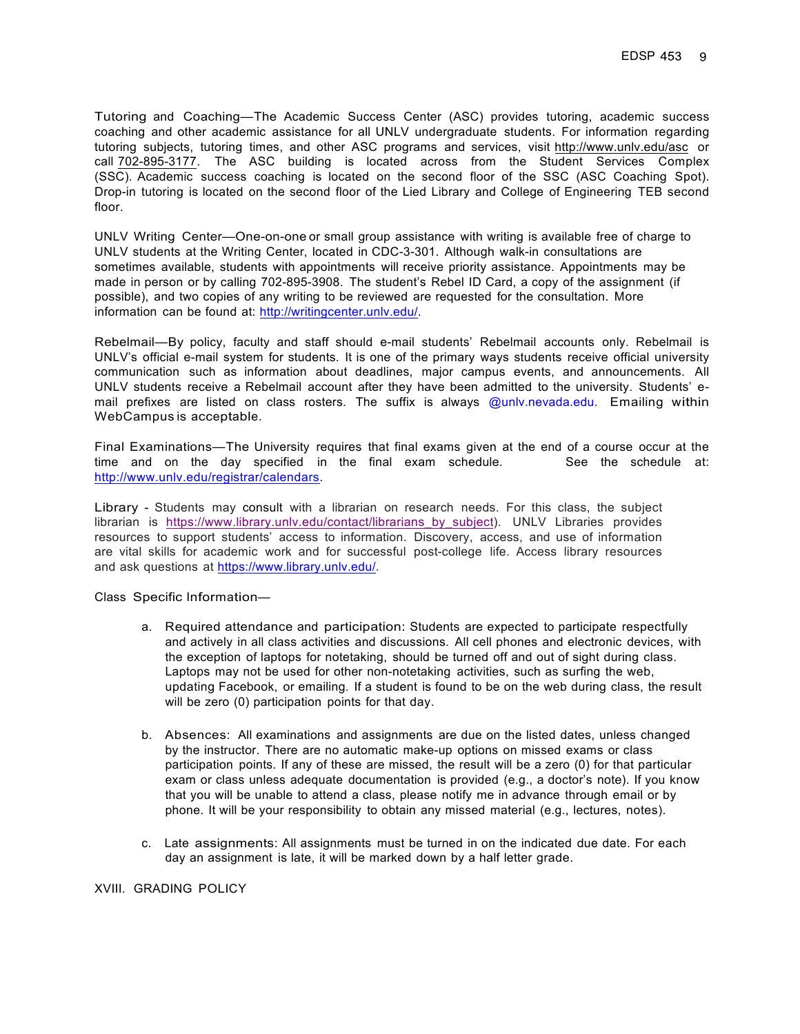Tutoring and Coaching—The Academic Success Center (ASC) provides tutoring, academic success coaching and other academic assistance for all UNLV undergraduate students. For information regarding tutoring subjects, tutoring times, and other ASC programs and services, visit http://www.unlv.edu/asc or call 702-895-3177. The ASC building is located across from the Student Services Complex (SSC). Academic success coaching is located on the second floor of the SSC (ASC Coaching Spot). Drop-in tutoring is located on the second floor of the Lied Library and College of Engineering TEB second floor.

UNLV Writing Center—One-on-one or small group assistance with writing is available free of charge to UNLV students at the Writing Center, located in CDC-3-301. Although walk-in consultations are sometimes available, students with appointments will receive priority assistance. Appointments may be made in person or by calling 702-895-3908. The student's Rebel ID Card, a copy of the assignment (if possible), and two copies of any writing to be reviewed are requested for the consultation. More information can be found at: http://writingcenter.unlv.edu/.

Rebelmail—By policy, faculty and staff should e-mail students' Rebelmail accounts only. Rebelmail is UNLV's official e-mail system for students. It is one of the primary ways students receive official university communication such as information about deadlines, major campus events, and announcements. All UNLV students receive a Rebelmail account after they have been admitted to the university. Students' email prefixes are listed on class rosters. The suffix is always @unlv.nevada.edu. Emailing within WebCampus is acceptable.

Final Examinations—The University requires that final exams given at the end of a course occur at the time and on the day specified in the final exam schedule. See the schedule at: http://www.unlv.edu/registrar/calendars.

Library - Students may consult with a librarian on research needs. For this class, the subject librarian is https://www.library.unlv.edu/contact/librarians\_by\_subject). UNLV Libraries provides resources to support students' access to information. Discovery, access, and use of information are vital skills for academic work and for successful post-college life. Access library resources and ask questions at https://www.library.unlv.edu/.

Class Specific Information—

- a. Required attendance and participation: Students are expected to participate respectfully and actively in all class activities and discussions. All cell phones and electronic devices, with the exception of laptops for notetaking, should be turned off and out of sight during class. Laptops may not be used for other non-notetaking activities, such as surfing the web, updating Facebook, or emailing. If a student is found to be on the web during class, the result will be zero (0) participation points for that day.
- b. Absences: All examinations and assignments are due on the listed dates, unless changed by the instructor. There are no automatic make-up options on missed exams or class participation points. If any of these are missed, the result will be a zero (0) for that particular exam or class unless adequate documentation is provided (e.g., a doctor's note). If you know that you will be unable to attend a class, please notify me in advance through email or by phone. It will be your responsibility to obtain any missed material (e.g., lectures, notes).
- c. Late assignments: All assignments must be turned in on the indicated due date. For each day an assignment is late, it will be marked down by a half letter grade.

#### XVIII. GRADING POLICY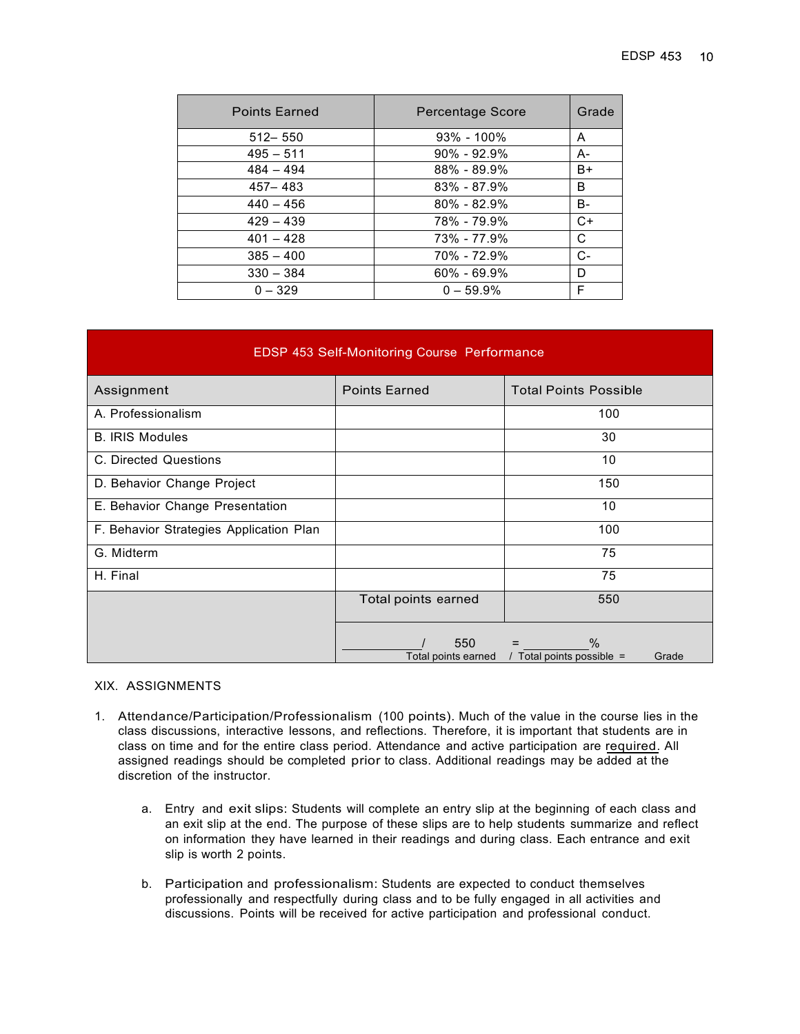| <b>Points Earned</b> | Percentage Score | Grade |
|----------------------|------------------|-------|
| $512 - 550$          | $93\% - 100\%$   | A     |
| $495 - 511$          | $90\% - 92.9\%$  | A-    |
| $484 - 494$          | $88\% - 89.9\%$  | B+    |
| $457 - 483$          | $83\% - 87.9\%$  | B     |
| $440 - 456$          | $80\% - 82.9\%$  | B-    |
| $429 - 439$          | 78% - 79.9%      | $C+$  |
| $401 - 428$          | 73% - 77.9%      | C     |
| $385 - 400$          | 70% - 72.9%      | $C-$  |
| $330 - 384$          | $60\% - 69.9\%$  | D     |
| $0 - 329$            | $0 - 59.9%$      | F     |

## EDSP 453 Self-Monitoring Course Performance

| Assignment                              | <b>Points Earned</b>       | <b>Total Points Possible</b>                        |
|-----------------------------------------|----------------------------|-----------------------------------------------------|
| A. Professionalism                      |                            | 100                                                 |
| <b>B. IRIS Modules</b>                  |                            | 30                                                  |
| C. Directed Questions                   |                            | 10                                                  |
| D. Behavior Change Project              |                            | 150                                                 |
| E. Behavior Change Presentation         |                            | 10                                                  |
| F. Behavior Strategies Application Plan |                            | 100                                                 |
| G. Midterm                              |                            | 75                                                  |
| H. Final                                |                            | 75                                                  |
|                                         | Total points earned        | 550                                                 |
|                                         | 550<br>Total points earned | $\frac{0}{0}$<br>/ Total points possible =<br>Grade |

### XIX. ASSIGNMENTS

- 1. Attendance/Participation/Professionalism (100 points). Much of the value in the course lies in the class discussions, interactive lessons, and reflections. Therefore, it is important that students are in class on time and for the entire class period. Attendance and active participation are required. All assigned readings should be completed prior to class. Additional readings may be added at the discretion of the instructor.
	- a. Entry and exit slips: Students will complete an entry slip at the beginning of each class and an exit slip at the end. The purpose of these slips are to help students summarize and reflect on information they have learned in their readings and during class. Each entrance and exit slip is worth 2 points.
	- b. Participation and professionalism: Students are expected to conduct themselves professionally and respectfully during class and to be fully engaged in all activities and discussions. Points will be received for active participation and professional conduct.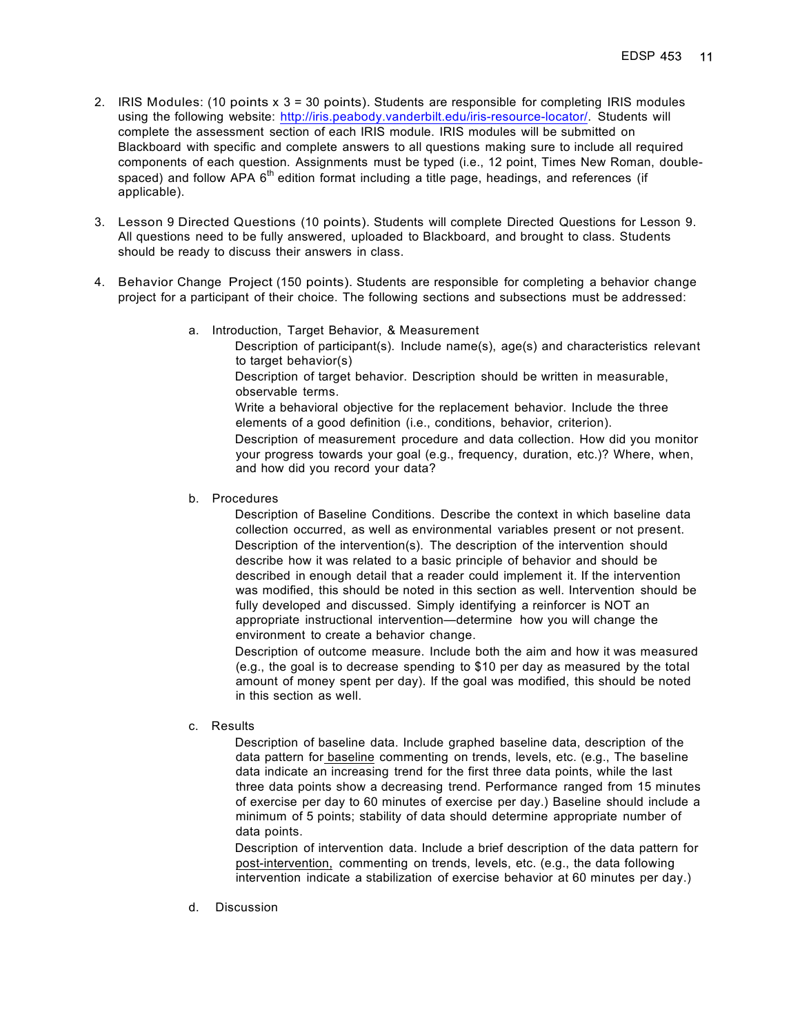- 2. IRIS Modules: (10 points x 3 = 30 points). Students are responsible for completing IRIS modules using the following website: http://iris.peabody.vanderbilt.edu/iris-resource-locator/. Students will complete the assessment section of each IRIS module. IRIS modules will be submitted on Blackboard with specific and complete answers to all questions making sure to include all required components of each question. Assignments must be typed (i.e., 12 point, Times New Roman, doublespaced) and follow APA  $6<sup>th</sup>$  edition format including a title page, headings, and references (if applicable).
- 3. Lesson 9 Directed Questions (10 points). Students will complete Directed Questions for Lesson 9. All questions need to be fully answered, uploaded to Blackboard, and brought to class. Students should be ready to discuss their answers in class.
- 4. Behavior Change Project (150 points). Students are responsible for completing a behavior change project for a participant of their choice. The following sections and subsections must be addressed:
	- a. Introduction, Target Behavior, & Measurement Description of participant(s). Include name(s), age(s) and characteristics relevant to target behavior(s) Description of target behavior. Description should be written in measurable, observable terms. Write a behavioral objective for the replacement behavior. Include the three elements of a good definition (i.e., conditions, behavior, criterion). Description of measurement procedure and data collection. How did you monitor your progress towards your goal (e.g., frequency, duration, etc.)? Where, when, and how did you record your data?
	- b. Procedures

 Description of Baseline Conditions. Describe the context in which baseline data collection occurred, as well as environmental variables present or not present. Description of the intervention(s). The description of the intervention should describe how it was related to a basic principle of behavior and should be described in enough detail that a reader could implement it. If the intervention was modified, this should be noted in this section as well. Intervention should be fully developed and discussed. Simply identifying a reinforcer is NOT an appropriate instructional intervention—determine how you will change the environment to create a behavior change.

 Description of outcome measure. Include both the aim and how it was measured (e.g., the goal is to decrease spending to \$10 per day as measured by the total amount of money spent per day). If the goal was modified, this should be noted in this section as well.

c. Results

 Description of baseline data. Include graphed baseline data, description of the data pattern for baseline commenting on trends, levels, etc. (e.g., The baseline data indicate an increasing trend for the first three data points, while the last three data points show a decreasing trend. Performance ranged from 15 minutes of exercise per day to 60 minutes of exercise per day.) Baseline should include a minimum of 5 points; stability of data should determine appropriate number of data points.

 Description of intervention data. Include a brief description of the data pattern for post-intervention, commenting on trends, levels, etc. (e.g., the data following intervention indicate a stabilization of exercise behavior at 60 minutes per day.)

d. Discussion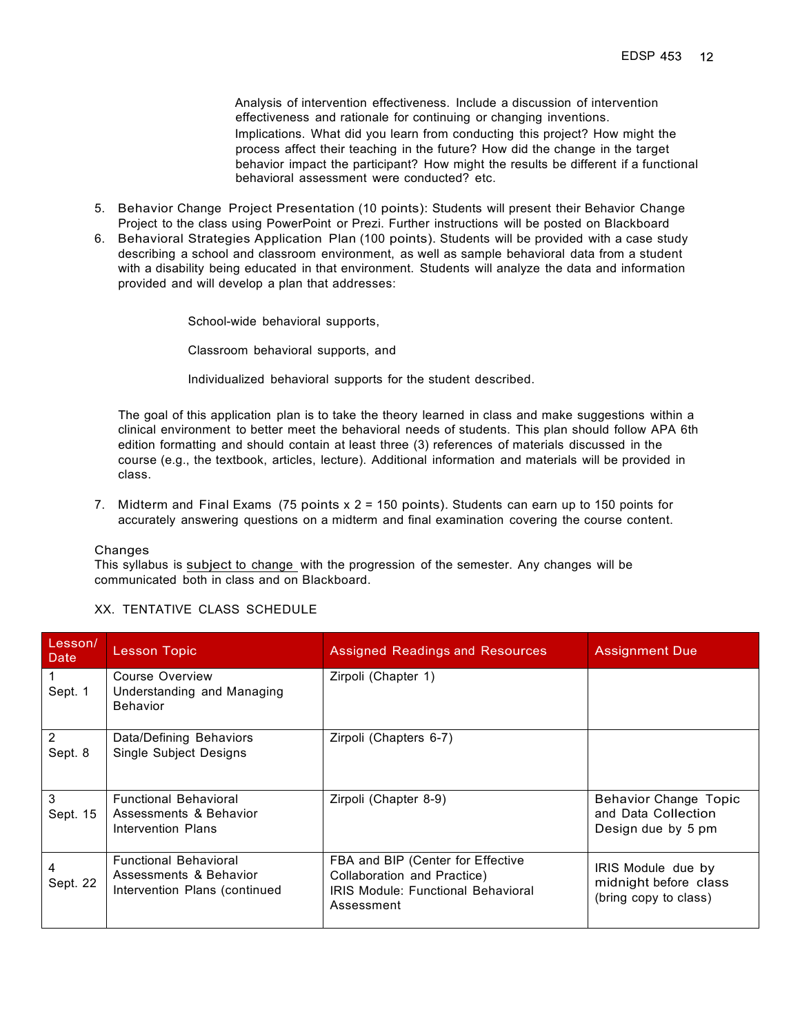Analysis of intervention effectiveness. Include a discussion of intervention effectiveness and rationale for continuing or changing inventions. Implications. What did you learn from conducting this project? How might the process affect their teaching in the future? How did the change in the target behavior impact the participant? How might the results be different if a functional behavioral assessment were conducted? etc.

- 5. Behavior Change Project Presentation (10 points): Students will present their Behavior Change Project to the class using PowerPoint or Prezi. Further instructions will be posted on Blackboard
- 6. Behavioral Strategies Application Plan (100 points). Students will be provided with a case study describing a school and classroom environment, as well as sample behavioral data from a student with a disability being educated in that environment. Students will analyze the data and information provided and will develop a plan that addresses:

School-wide behavioral supports,

Classroom behavioral supports, and

Individualized behavioral supports for the student described.

The goal of this application plan is to take the theory learned in class and make suggestions within a clinical environment to better meet the behavioral needs of students. This plan should follow APA 6th edition formatting and should contain at least three (3) references of materials discussed in the course (e.g., the textbook, articles, lecture). Additional information and materials will be provided in class.

7. Midterm and Final Exams (75 points x 2 = 150 points). Students can earn up to 150 points for accurately answering questions on a midterm and final examination covering the course content.

Changes

This syllabus is subject to change with the progression of the semester. Any changes will be communicated both in class and on Blackboard.

#### XX. TENTATIVE CLASS SCHEDULE

| Lesson/<br>Date           | <b>Lesson Topic</b>                                                                     | <b>Assigned Readings and Resources</b>                                                                                      | <b>Assignment Due</b>                                                     |
|---------------------------|-----------------------------------------------------------------------------------------|-----------------------------------------------------------------------------------------------------------------------------|---------------------------------------------------------------------------|
| Sept. 1                   | Course Overview<br>Understanding and Managing<br><b>Behavior</b>                        | Zirpoli (Chapter 1)                                                                                                         |                                                                           |
| $\overline{2}$<br>Sept. 8 | Data/Defining Behaviors<br><b>Single Subject Designs</b>                                | Zirpoli (Chapters 6-7)                                                                                                      |                                                                           |
| 3<br>Sept. 15             | <b>Functional Behavioral</b><br>Assessments & Behavior<br>Intervention Plans            | Zirpoli (Chapter 8-9)                                                                                                       | <b>Behavior Change Topic</b><br>and Data Collection<br>Design due by 5 pm |
| 4<br>Sept. 22             | <b>Functional Behavioral</b><br>Assessments & Behavior<br>Intervention Plans (continued | FBA and BIP (Center for Effective<br>Collaboration and Practice)<br><b>IRIS Module: Functional Behavioral</b><br>Assessment | IRIS Module due by<br>midnight before class<br>(bring copy to class)      |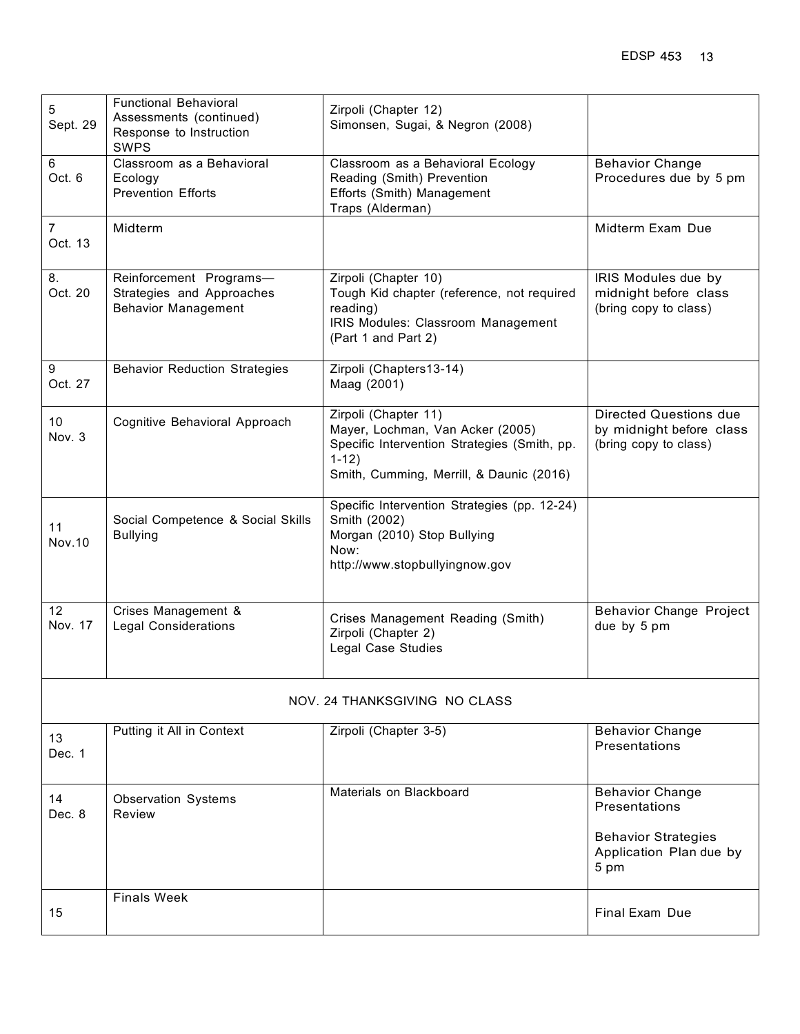| 5<br>Sept. 29                 | <b>Functional Behavioral</b><br>Assessments (continued)<br>Response to Instruction<br><b>SWPS</b> | Zirpoli (Chapter 12)<br>Simonsen, Sugai, & Negron (2008)                                                                                                        |                                                                                    |
|-------------------------------|---------------------------------------------------------------------------------------------------|-----------------------------------------------------------------------------------------------------------------------------------------------------------------|------------------------------------------------------------------------------------|
| 6<br>Oct. 6                   | Classroom as a Behavioral<br>Ecology<br><b>Prevention Efforts</b>                                 | Classroom as a Behavioral Ecology<br>Reading (Smith) Prevention<br>Efforts (Smith) Management<br>Traps (Alderman)                                               | <b>Behavior Change</b><br>Procedures due by 5 pm                                   |
| $\overline{7}$<br>Oct. 13     | Midterm                                                                                           |                                                                                                                                                                 | Midterm Exam Due                                                                   |
| 8.<br>Oct. 20                 | Reinforcement Programs-<br>Strategies and Approaches<br><b>Behavior Management</b>                | Zirpoli (Chapter 10)<br>Tough Kid chapter (reference, not required<br>reading)<br>IRIS Modules: Classroom Management<br>(Part 1 and Part 2)                     | IRIS Modules due by<br>midnight before class<br>(bring copy to class)              |
| 9<br>Oct. 27                  | <b>Behavior Reduction Strategies</b>                                                              | Zirpoli (Chapters13-14)<br>Maag (2001)                                                                                                                          |                                                                                    |
| 10<br>Nov. 3                  | Cognitive Behavioral Approach                                                                     | Zirpoli (Chapter 11)<br>Mayer, Lochman, Van Acker (2005)<br>Specific Intervention Strategies (Smith, pp.<br>$1-12)$<br>Smith, Cumming, Merrill, & Daunic (2016) | <b>Directed Questions due</b><br>by midnight before class<br>(bring copy to class) |
| 11<br><b>Nov.10</b>           | Social Competence & Social Skills<br><b>Bullying</b>                                              | Specific Intervention Strategies (pp. 12-24)<br>Smith (2002)<br>Morgan (2010) Stop Bullying<br>Now:<br>http://www.stopbullyingnow.gov                           |                                                                                    |
| 12<br>Nov. 17                 | Crises Management &<br><b>Legal Considerations</b>                                                | Crises Management Reading (Smith)<br>Zirpoli (Chapter 2)<br><b>Legal Case Studies</b>                                                                           | <b>Behavior Change Project</b><br>due by 5 pm                                      |
| NOV. 24 THANKSGIVING NO CLASS |                                                                                                   |                                                                                                                                                                 |                                                                                    |
| 13<br>Dec. 1                  | Putting it All in Context                                                                         | Zirpoli (Chapter 3-5)                                                                                                                                           | <b>Behavior Change</b><br>Presentations                                            |
| 14<br>Dec. 8                  | <b>Observation Systems</b><br>Review                                                              | Materials on Blackboard                                                                                                                                         | <b>Behavior Change</b><br>Presentations                                            |
|                               |                                                                                                   |                                                                                                                                                                 | <b>Behavior Strategies</b><br>Application Plan due by<br>5 pm                      |
| 15                            | <b>Finals Week</b>                                                                                |                                                                                                                                                                 | Final Exam Due                                                                     |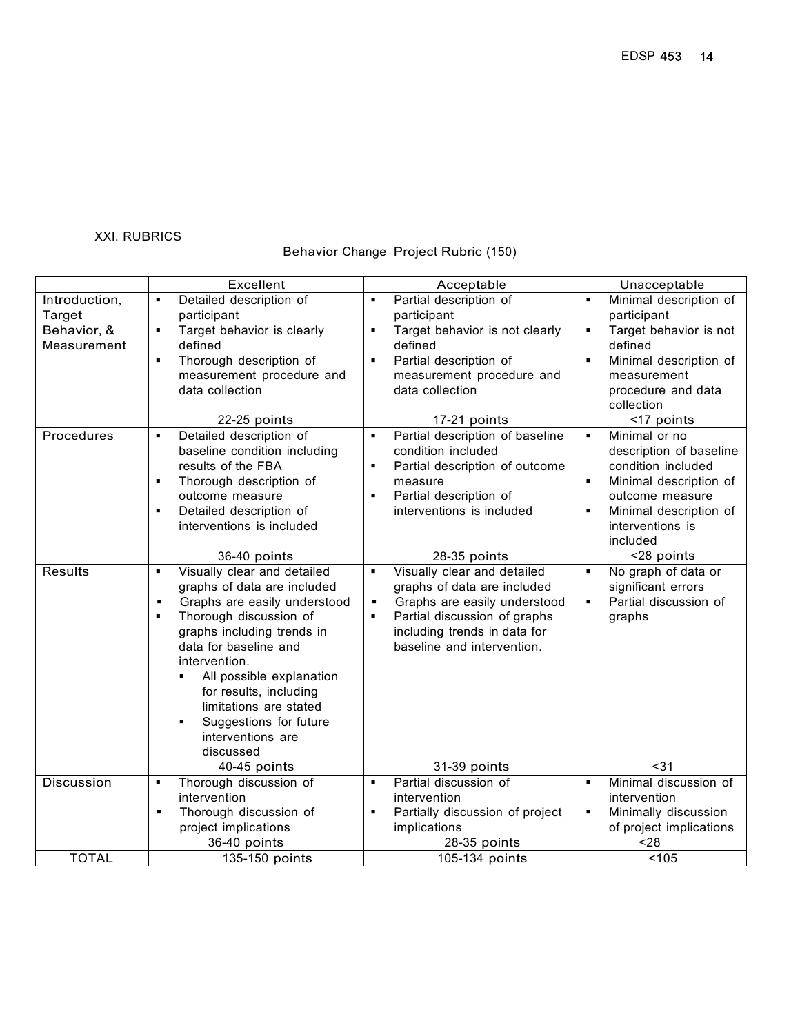## XXI. RUBRICS

# Behavior Change Project Rubric (150)

|                | Excellent                                                  | Acceptable                                                 | Unacceptable                              |
|----------------|------------------------------------------------------------|------------------------------------------------------------|-------------------------------------------|
| Introduction,  | Detailed description of<br>٠                               | Partial description of<br>$\blacksquare$                   | Minimal description of<br>٠               |
| Target         | participant                                                | participant                                                | participant                               |
| Behavior, &    | Target behavior is clearly<br>٠                            | Target behavior is not clearly<br>$\blacksquare$           | Target behavior is not<br>$\blacksquare$  |
| Measurement    | defined                                                    | defined                                                    | defined                                   |
|                | Thorough description of<br>٠                               | Partial description of<br>$\blacksquare$                   | Minimal description of<br>$\blacksquare$  |
|                | measurement procedure and                                  | measurement procedure and                                  | measurement                               |
|                | data collection                                            | data collection                                            | procedure and data                        |
|                |                                                            |                                                            | collection                                |
|                | 22-25 points                                               | 17-21 points                                               | <17 points                                |
| Procedures     | Detailed description of<br>٠                               | Partial description of baseline                            | Minimal or no<br>$\blacksquare$           |
|                | baseline condition including                               | condition included                                         | description of baseline                   |
|                | results of the FBA                                         | Partial description of outcome                             | condition included                        |
|                | Thorough description of<br>٠                               | measure                                                    | Minimal description of<br>٠               |
|                | outcome measure                                            | Partial description of<br>$\blacksquare$                   | outcome measure                           |
|                | Detailed description of<br>٠                               | interventions is included                                  | Minimal description of<br>٠               |
|                | interventions is included                                  |                                                            | interventions is                          |
|                |                                                            |                                                            | included                                  |
| <b>Results</b> | 36-40 points<br>٠                                          | 28-35 points<br>$\blacksquare$                             | <28 points<br>$\blacksquare$              |
|                | Visually clear and detailed<br>graphs of data are included | Visually clear and detailed<br>graphs of data are included | No graph of data or<br>significant errors |
|                | Graphs are easily understood<br>$\blacksquare$             | Graphs are easily understood<br>$\blacksquare$             | Partial discussion of<br>$\blacksquare$   |
|                | Thorough discussion of                                     | Partial discussion of graphs                               | graphs                                    |
|                | graphs including trends in                                 | including trends in data for                               |                                           |
|                | data for baseline and                                      | baseline and intervention.                                 |                                           |
|                | intervention.                                              |                                                            |                                           |
|                | All possible explanation<br>٠                              |                                                            |                                           |
|                | for results, including                                     |                                                            |                                           |
|                | limitations are stated                                     |                                                            |                                           |
|                | Suggestions for future<br>٠                                |                                                            |                                           |
|                | interventions are                                          |                                                            |                                           |
|                | discussed                                                  |                                                            |                                           |
|                | 40-45 points                                               | 31-39 points                                               | $31$                                      |
| Discussion     | Thorough discussion of<br>٠                                | Partial discussion of<br>$\blacksquare$                    | Minimal discussion of<br>$\blacksquare$   |
|                | intervention                                               | intervention                                               | intervention                              |
|                | Thorough discussion of<br>٠                                | Partially discussion of project                            | Minimally discussion<br>$\blacksquare$    |
|                | project implications                                       | implications                                               | of project implications                   |
|                | 36-40 points                                               | 28-35 points                                               | $28$                                      |
| <b>TOTAL</b>   | 135-150 points                                             | 105-134 points                                             | < 105                                     |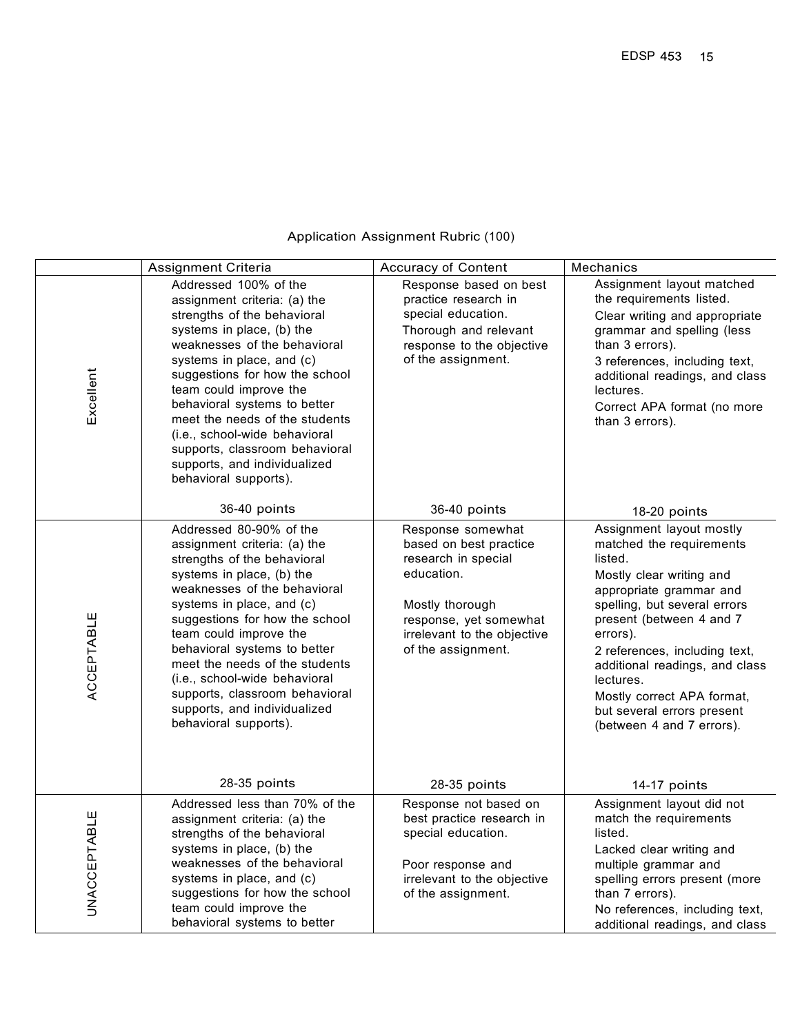|                     | Assignment Criteria                                                                                                                                                                                                                                                                                                                                                                                                                        | Accuracy of Content                                                                                                                                                                | Mechanics                                                                                                                                                                                                                                                                                                                                                               |
|---------------------|--------------------------------------------------------------------------------------------------------------------------------------------------------------------------------------------------------------------------------------------------------------------------------------------------------------------------------------------------------------------------------------------------------------------------------------------|------------------------------------------------------------------------------------------------------------------------------------------------------------------------------------|-------------------------------------------------------------------------------------------------------------------------------------------------------------------------------------------------------------------------------------------------------------------------------------------------------------------------------------------------------------------------|
| Excellent           | Addressed 100% of the<br>assignment criteria: (a) the<br>strengths of the behavioral<br>systems in place, (b) the<br>weaknesses of the behavioral<br>systems in place, and (c)<br>suggestions for how the school<br>team could improve the<br>behavioral systems to better<br>meet the needs of the students<br>(i.e., school-wide behavioral<br>supports, classroom behavioral<br>supports, and individualized<br>behavioral supports).   | Response based on best<br>practice research in<br>special education.<br>Thorough and relevant<br>response to the objective<br>of the assignment.                                   | Assignment layout matched<br>the requirements listed.<br>Clear writing and appropriate<br>grammar and spelling (less<br>than 3 errors).<br>3 references, including text,<br>additional readings, and class<br>lectures.<br>Correct APA format (no more<br>than 3 errors).                                                                                               |
|                     | 36-40 points                                                                                                                                                                                                                                                                                                                                                                                                                               | 36-40 points                                                                                                                                                                       | 18-20 points                                                                                                                                                                                                                                                                                                                                                            |
| ACCEPTABLE          | Addressed 80-90% of the<br>assignment criteria: (a) the<br>strengths of the behavioral<br>systems in place, (b) the<br>weaknesses of the behavioral<br>systems in place, and (c)<br>suggestions for how the school<br>team could improve the<br>behavioral systems to better<br>meet the needs of the students<br>(i.e., school-wide behavioral<br>supports, classroom behavioral<br>supports, and individualized<br>behavioral supports). | Response somewhat<br>based on best practice<br>research in special<br>education.<br>Mostly thorough<br>response, yet somewhat<br>irrelevant to the objective<br>of the assignment. | Assignment layout mostly<br>matched the requirements<br>listed.<br>Mostly clear writing and<br>appropriate grammar and<br>spelling, but several errors<br>present (between 4 and 7<br>errors).<br>2 references, including text,<br>additional readings, and class<br>lectures.<br>Mostly correct APA format,<br>but several errors present<br>(between 4 and 7 errors). |
|                     | 28-35 points                                                                                                                                                                                                                                                                                                                                                                                                                               | 28-35 points                                                                                                                                                                       | 14-17 points                                                                                                                                                                                                                                                                                                                                                            |
| <b>UNACCEPTABLE</b> | Addressed less than 70% of the<br>assignment criteria: (a) the<br>strengths of the behavioral<br>systems in place, (b) the<br>weaknesses of the behavioral<br>systems in place, and (c)<br>suggestions for how the school<br>team could improve the<br>behavioral systems to better                                                                                                                                                        | Response not based on<br>best practice research in<br>special education.<br>Poor response and<br>irrelevant to the objective<br>of the assignment.                                 | Assignment layout did not<br>match the requirements<br>listed.<br>Lacked clear writing and<br>multiple grammar and<br>spelling errors present (more<br>than 7 errors).<br>No references, including text,<br>additional readings, and class                                                                                                                              |

# Application Assignment Rubric (100)